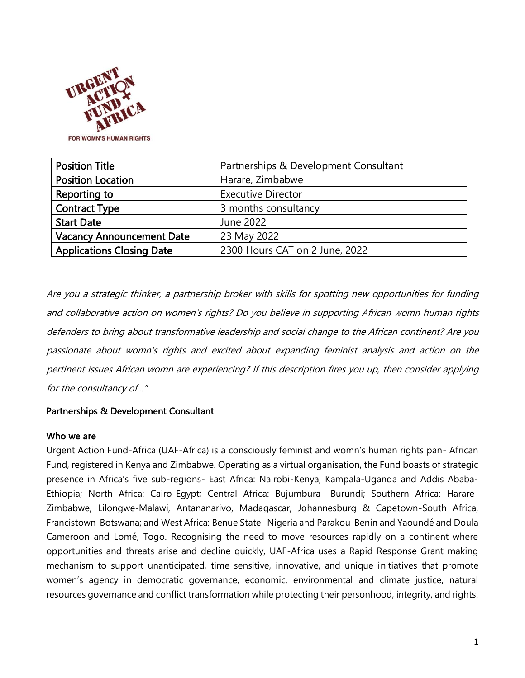

| <b>Position Title</b>            | Partnerships & Development Consultant |
|----------------------------------|---------------------------------------|
| <b>Position Location</b>         | Harare, Zimbabwe                      |
| Reporting to                     | <b>Executive Director</b>             |
| <b>Contract Type</b>             | 3 months consultancy                  |
| <b>Start Date</b>                | June 2022                             |
| <b>Vacancy Announcement Date</b> | 23 May 2022                           |
| <b>Applications Closing Date</b> | 2300 Hours CAT on 2 June, 2022        |

Are you a strategic thinker, a partnership broker with skills for spotting new opportunities for funding and collaborative action on women's rights? Do you believe in supporting African womn human rights defenders to bring about transformative leadership and social change to the African continent? Are you passionate about womn's rights and excited about expanding feminist analysis and action on the pertinent issues African womn are experiencing? If this description fires you up, then consider applying for the consultancy of..."

## Partnerships & Development Consultant

#### Who we are

Urgent Action Fund-Africa (UAF-Africa) is a consciously feminist and womn's human rights pan- African Fund, registered in Kenya and Zimbabwe. Operating as a virtual organisation, the Fund boasts of strategic presence in Africa's five sub-regions- East Africa: Nairobi-Kenya, Kampala-Uganda and Addis Ababa-Ethiopia; North Africa: Cairo-Egypt; Central Africa: Bujumbura- Burundi; Southern Africa: Harare-Zimbabwe, Lilongwe-Malawi, Antananarivo, Madagascar, Johannesburg & Capetown-South Africa, Francistown-Botswana; and West Africa: Benue State -Nigeria and Parakou-Benin and Yaoundé and Doula Cameroon and Lomé, Togo. Recognising the need to move resources rapidly on a continent where opportunities and threats arise and decline quickly, UAF-Africa uses a Rapid Response Grant making mechanism to support unanticipated, time sensitive, innovative, and unique initiatives that promote women's agency in democratic governance, economic, environmental and climate justice, natural resources governance and conflict transformation while protecting their personhood, integrity, and rights.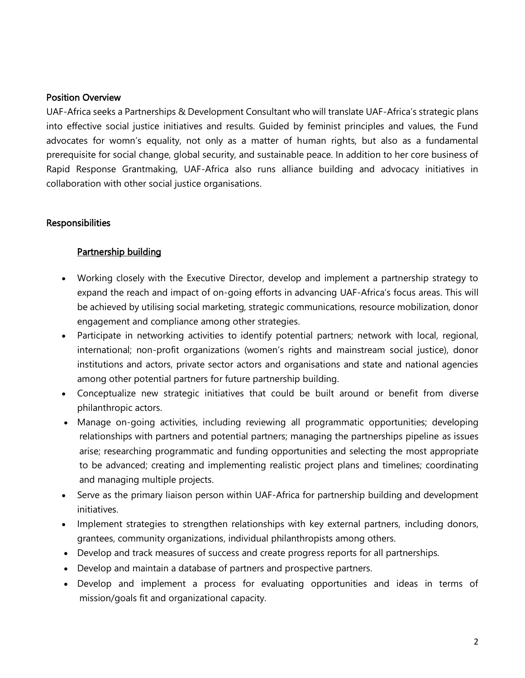#### Position Overview

UAF-Africa seeks a Partnerships & Development Consultant who will translate UAF-Africa's strategic plans into effective social justice initiatives and results. Guided by feminist principles and values, the Fund advocates for womn's equality, not only as a matter of human rights, but also as a fundamental prerequisite for social change, global security, and sustainable peace. In addition to her core business of Rapid Response Grantmaking, UAF-Africa also runs alliance building and advocacy initiatives in collaboration with other social justice organisations.

#### **Responsibilities**

## Partnership building

- Working closely with the Executive Director, develop and implement a partnership strategy to expand the reach and impact of on-going efforts in advancing UAF-Africa's focus areas. This will be achieved by utilising social marketing, strategic communications, resource mobilization, donor engagement and compliance among other strategies.
- Participate in networking activities to identify potential partners; network with local, regional, international; non-profit organizations (women's rights and mainstream social justice), donor institutions and actors, private sector actors and organisations and state and national agencies among other potential partners for future partnership building.
- Conceptualize new strategic initiatives that could be built around or benefit from diverse philanthropic actors.
- Manage on-going activities, including reviewing all programmatic opportunities; developing relationships with partners and potential partners; managing the partnerships pipeline as issues arise; researching programmatic and funding opportunities and selecting the most appropriate to be advanced; creating and implementing realistic project plans and timelines; coordinating and managing multiple projects.
- Serve as the primary liaison person within UAF-Africa for partnership building and development initiatives.
- Implement strategies to strengthen relationships with key external partners, including donors, grantees, community organizations, individual philanthropists among others.
- Develop and track measures of success and create progress reports for all partnerships.
- Develop and maintain a database of partners and prospective partners.
- Develop and implement a process for evaluating opportunities and ideas in terms of mission/goals fit and organizational capacity.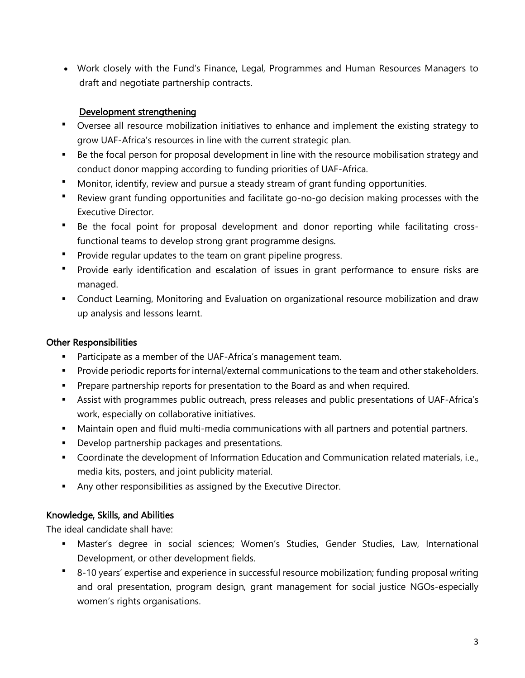• Work closely with the Fund's Finance, Legal, Programmes and Human Resources Managers to draft and negotiate partnership contracts.

## Development strengthening

- Oversee all resource mobilization initiatives to enhance and implement the existing strategy to grow UAF-Africa's resources in line with the current strategic plan.
- Be the focal person for proposal development in line with the resource mobilisation strategy and conduct donor mapping according to funding priorities of UAF-Africa.
- Monitor, identify, review and pursue a steady stream of grant funding opportunities.
- Review grant funding opportunities and facilitate go-no-go decision making processes with the Executive Director.
- Be the focal point for proposal development and donor reporting while facilitating crossfunctional teams to develop strong grant programme designs.
- Provide regular updates to the team on grant pipeline progress.
- Provide early identification and escalation of issues in grant performance to ensure risks are managed.
- **•** Conduct Learning, Monitoring and Evaluation on organizational resource mobilization and draw up analysis and lessons learnt.

# Other Responsibilities

- Participate as a member of the UAF-Africa's management team.
- Provide periodic reports for internal/external communications to the team and other stakeholders.
- **•** Prepare partnership reports for presentation to the Board as and when required.
- Assist with programmes public outreach, press releases and public presentations of UAF-Africa's work, especially on collaborative initiatives.
- **■** Maintain open and fluid multi-media communications with all partners and potential partners.
- **•** Develop partnership packages and presentations.
- Coordinate the development of Information Education and Communication related materials, i.e., media kits, posters, and joint publicity material.
- **EXECT** Any other responsibilities as assigned by the Executive Director.

# Knowledge, Skills, and Abilities

The ideal candidate shall have:

- **■** Master's degree in social sciences; Women's Studies, Gender Studies, Law, International Development, or other development fields.
- 8-10 years' expertise and experience in successful resource mobilization; funding proposal writing and oral presentation, program design, grant management for social justice NGOs-especially women's rights organisations.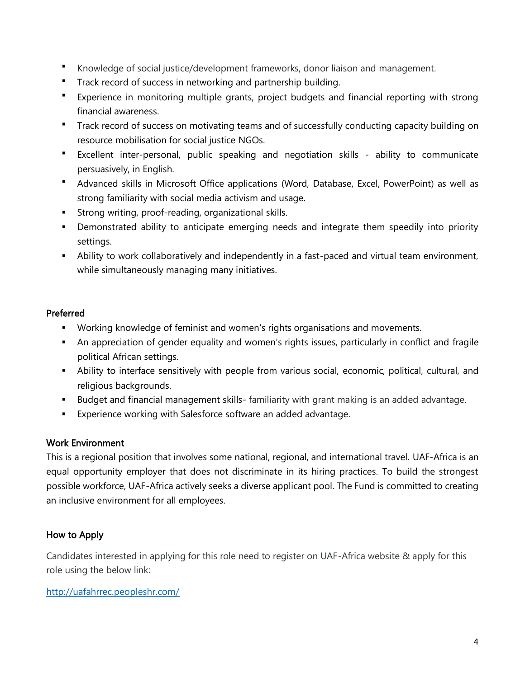- Knowledge of social justice/development frameworks, donor liaison and management.
- **Track record of success in networking and partnership building.**
- Experience in monitoring multiple grants, project budgets and financial reporting with strong financial awareness.
- Track record of success on motivating teams and of successfully conducting capacity building on resource mobilisation for social justice NGOs.
- Excellent inter-personal, public speaking and negotiation skills ability to communicate persuasively, in English.
- Advanced skills in Microsoft Office applications (Word, Database, Excel, PowerPoint) as well as strong familiarity with social media activism and usage.
- **EXTERG** Strong writing, proof-reading, organizational skills.
- **•** Demonstrated ability to anticipate emerging needs and integrate them speedily into priority settings.
- **EXT** Ability to work collaboratively and independently in a fast-paced and virtual team environment, while simultaneously managing many initiatives.

# Preferred

- Working knowledge of feminist and women's rights organisations and movements.
- **EXT** An appreciation of gender equality and women's rights issues, particularly in conflict and fragile political African settings.
- **E** Ability to interface sensitively with people from various social, economic, political, cultural, and religious backgrounds.
- Budget and financial management skills- familiarity with grant making is an added advantage.
- **Experience working with Salesforce software an added advantage.**

## Work Environment

This is a regional position that involves some national, regional, and international travel. UAF-Africa is an equal opportunity employer that does not discriminate in its hiring practices. To build the strongest possible workforce, UAF-Africa actively seeks a diverse applicant pool. The Fund is committed to creating an inclusive environment for all employees.

# How to Apply

Candidates interested in applying for this role need to register on UAF-Africa website & apply for this role using the below link:

## <http://uafahrrec.peopleshr.com/>